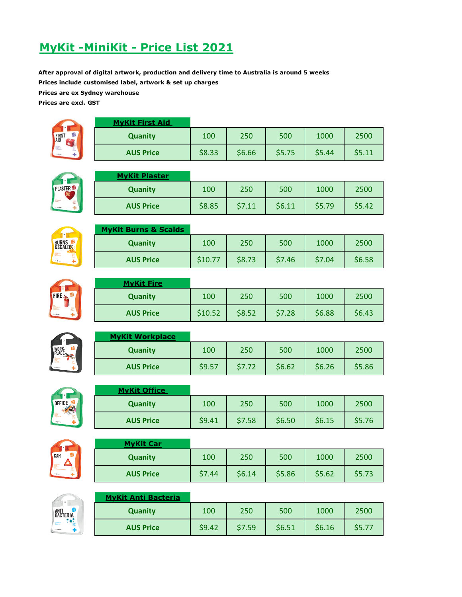# **MyKit -MiniKit - Price List 2021**

**After approval of digital artwork, production and delivery time to Australia is around 5 weeks Prices include customised label, artwork & set up charges**

**Prices are ex Sydney warehouse**

**Prices are excl. GST**



| <b>MyKit First Aid</b> |        |        |        |        |        |
|------------------------|--------|--------|--------|--------|--------|
| <b>Quanity</b>         | 100    | 250    | 500    | 1000   | 2500   |
| <b>AUS Price</b>       | \$8.33 | \$6.66 | \$5.75 | \$5.44 | \$5.11 |



#### **MyKit Plaster**

| ---------------  |        |        |        |        |        |
|------------------|--------|--------|--------|--------|--------|
| <b>Quanity</b>   | 100    | 250    | 500    | 1000   | 2500   |
| <b>AUS Price</b> | \$8.85 | \$7.11 | \$6.11 | \$5.79 | \$5.42 |



# **MyKit Burns & Scalds Quanity** | 100 | 250 | 500 | 1000 | 2500 **AUS Price**  $\begin{array}{|c|c|c|c|c|} \hline \text{$510.77} & \text{$58.73} & \text{$57.46} & \text{$57.04} & \text{$56.58} \\ \hline \end{array}$



|  | <b>MyKit Fire</b> |         |        |        |        |        |
|--|-------------------|---------|--------|--------|--------|--------|
|  | <b>Quanity</b>    | 100     | 250    | 500    | 1000   | 2500   |
|  | <b>AUS Price</b>  | \$10.52 | \$8.52 | \$7.28 | \$6.88 | \$6.43 |



| <b>MyKit Workplace</b> |        |        |        |        |        |
|------------------------|--------|--------|--------|--------|--------|
| <b>Quanity</b>         | 100    | 250    | 500    | 1000   | 2500   |
| <b>AUS Price</b>       | \$9.57 | \$7.72 | \$6.62 | \$6.26 | \$5.86 |



# **MyKit Office Quanity** 100 250 500 1000 2500 **AUS Price**  $\begin{array}{|c|c|c|c|c|} \hline \text{0.9.41} & \text{0.57.58} & \text{0.50} & \text{0.56.15} & \text{0.576} \hline \end{array}$



| <b>MyKit Car</b> |        |        |        |        |        |
|------------------|--------|--------|--------|--------|--------|
| <b>Quanity</b>   | 100    | 250    | 500    | 1000   | 2500   |
| <b>AUS Price</b> | \$7.44 | \$6.14 | \$5.86 | \$5.62 | \$5.73 |



### **MyKit Anti Bacteria Quanity** 100 250 500 1000 2500 **AUS Price**  $\begin{array}{|c|c|c|c|c|} \hline \text{39.42} & \text{57.59} & \text{56.51} & \text{56.16} & \text{55.77} \hline \end{array}$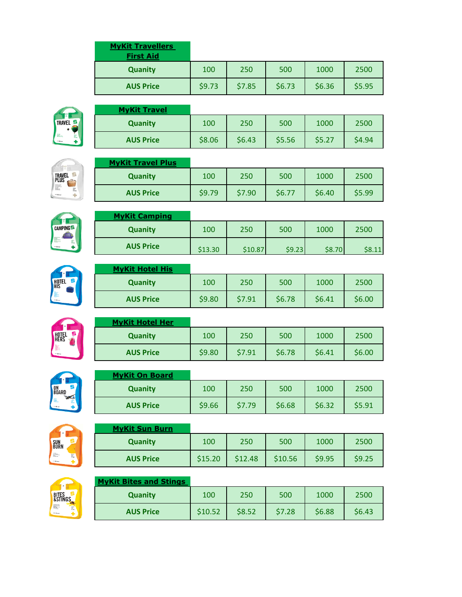| <b>MyKit Travellers</b><br><b>First Aid</b> |        |        |        |        |        |
|---------------------------------------------|--------|--------|--------|--------|--------|
| <b>Quanity</b>                              | 100    | 250    | 500    | 1000   | 2500   |
| <b>AUS Price</b>                            | \$9.73 | \$7.85 | \$6.73 | \$6.36 | \$5.95 |



| <b>MyKit Travel</b> |        |        |        |        |        |
|---------------------|--------|--------|--------|--------|--------|
| <b>Quanity</b>      | 100    | 250    | 500    | 1000   | 2500   |
| <b>AUS Price</b>    | \$8.06 | \$6.43 | \$5.56 | \$5.27 | \$4.94 |



| <b>MyKit Travel Plus</b> |        |        |        |        |        |
|--------------------------|--------|--------|--------|--------|--------|
| <b>Quanity</b>           | 100    | 250    | 500    | 1000   | 2500   |
| <b>AUS Price</b>         | \$9.79 | \$7.90 | \$6.77 | \$6.40 | \$5.99 |

**Quanity** 100 250 500 1000 2500

**AUS Price**  $\begin{vmatrix} 513.30 & 510.87 & 59.23 & 58.70 & 58.11 \end{vmatrix}$ 





| <b>MyKit Hotel His</b> |        |        |        |        |        |
|------------------------|--------|--------|--------|--------|--------|
| <b>Quanity</b>         | 100    | 250    | 500    | 1000   | 2500   |
| <b>AUS Price</b>       | \$9.80 | \$7.91 | \$6.78 | \$6.41 | \$6.00 |



| <b>MyKit Hotel Her</b> |        |        |        |        |        |
|------------------------|--------|--------|--------|--------|--------|
| <b>Quanity</b>         | 100    | 250    | 500    | 1000   | 2500   |
| <b>AUS Price</b>       | \$9.80 | \$7.91 | \$6.78 | \$6.41 | \$6.00 |



# **MyKit On Board**

**MyKit Camping**

| <b>Quanity</b>   | 100    | 250    | 500    | 1000   | 2500   |
|------------------|--------|--------|--------|--------|--------|
| <b>AUS Price</b> | \$9.66 | \$7.79 | \$6.68 | \$6.32 | \$5.91 |



| <b>MyKit Sun Burn</b> |         |         |         |        |        |
|-----------------------|---------|---------|---------|--------|--------|
| <b>Quanity</b>        | 100     | 250     | 500     | 1000   | 2500   |
| <b>AUS Price</b>      | \$15.20 | \$12.48 | \$10.56 | \$9.95 | \$9.25 |



### **MyKit Bites and Stings**

| <b>Quanity</b>   | 100     | 250    | 500    | 1000   | 2500   |
|------------------|---------|--------|--------|--------|--------|
| <b>AUS Price</b> | \$10.52 | \$8.52 | \$7.28 | \$6.88 | \$6.43 |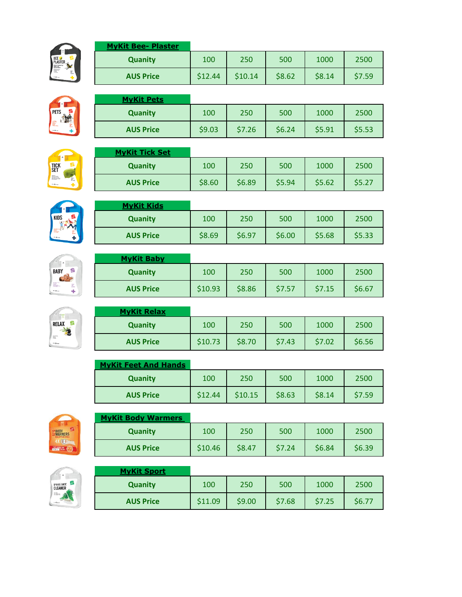

# **MyKit Bee- Plaster**

| <b>Quanity</b>   | 100     | 250     | 500    | 1000   | 2500   |
|------------------|---------|---------|--------|--------|--------|
| <b>AUS Price</b> | \$12.44 | \$10.14 | \$8.62 | \$8.14 | \$7.59 |

**Quanity** 100 250 500 1000 2500

**AUS Price**  $\begin{array}{|c|c|c|c|c|} \hline \text{59.03} & \text{57.26} & \text{56.24} & \text{55.91} & \text{55.53} \\ \hline \end{array}$ 





### **MyKit Tick Set**

**MyKit Pets**

**MyKit Kids**

| <b>MYKIt TICK Set</b> |        |        |        |        |        |
|-----------------------|--------|--------|--------|--------|--------|
| Quanity               | 100    | 250    | 500    | 1000   | 2500   |
| <b>AUS Price</b>      | \$8.60 | \$6.89 | \$5.94 | \$5.62 | \$5.27 |

**Quanity** 100 250 500 1000 2500

**AUS Price**  $\begin{array}{|c|c|c|c|c|} \hline \text{0.85} & \text{0.869} & \text{0.869} & \text{0.869} & \text{0.860} & \text{0.860} & \text{0.860} & \text{0.860} & \text{0.860} & \text{0.860} & \text{0.860} & \text{0.860} & \text{0.860} & \text{0.860} & \text{0.860} & \text{0.860} & \text{0.860} & \text{0.860} & \text{0.860} &$ 









| <b>MyKit Relax</b> |         |        |        |        |        |
|--------------------|---------|--------|--------|--------|--------|
| <b>Quanity</b>     | 100     | 250    | 500    | 1000   | 2500   |
| <b>AUS Price</b>   | \$10.73 | \$8.70 | \$7.43 | \$7.02 | \$6.56 |

| <b>MyKit Feet And Hands</b> |         |         |        |        |        |
|-----------------------------|---------|---------|--------|--------|--------|
| <b>Quanity</b>              | 100     | 250     | 500    | 1000   | 2500   |
| <b>AUS Price</b>            | \$12.44 | \$10.15 | \$8.63 | \$8.14 | \$7.59 |



### **MyKit Body Warmers**

| <b>Quanity</b>   | 100     | 250    | 500    | 1000   | 2500   |
|------------------|---------|--------|--------|--------|--------|
| <b>AUS Price</b> | \$10.46 | \$8.47 | \$7.24 | \$6.84 | \$6.39 |



### **MyKit Sport Quanity** 100 250 500 1000 2500 **AUS Price**  $\begin{array}{|c|c|c|c|c|} \hline \text{$511.09} & \text{$59.00} & \text{$57.68} & \text{$57.25} & \text{$56.77} \\ \hline \end{array}$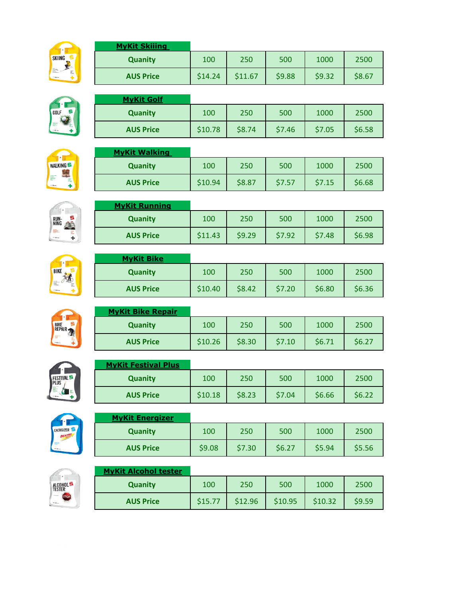

# **MyKit Skiiing Quanity** 100 250 500 1000 2500 **AUS Price**  $\begin{array}{|c|c|c|c|c|} \hline \text{5}14.24 & \text{5}11.67 & \text{5}9.88 & \text{5}9.32 & \text{5}8.67 \hline \end{array}$

**Quanity** 100 250 500 1000 2500





| <b>AUS Price</b>     | \$10.78 | \$8.74 | \$7.46 | \$7.05 | \$6.58 |
|----------------------|---------|--------|--------|--------|--------|
| <b>MyKit Walking</b> |         |        |        |        |        |
|                      |         |        |        |        |        |

| <b>Quanity</b>   | 100     | 250    | 500    | 1000   | 2500   |
|------------------|---------|--------|--------|--------|--------|
| <b>AUS Price</b> | \$10.94 | \$8.87 | \$7.57 | \$7.15 | \$6.68 |





| <b>AUS Price</b>  | \$11.43 | \$9.29 | \$7.92 | \$7.48 | \$6.98 |
|-------------------|---------|--------|--------|--------|--------|
| <b>MyKit Bike</b> |         |        |        |        |        |
| <b>Quanity</b>    | 100     | 250    | 500    | 1000   | 2500   |
| <b>AUS Price</b>  | \$10.40 | \$8.42 | \$7.20 | \$6.80 | \$6.36 |

**Quanity** 100 250 500 1000 2500



# **MyKit Bike Repair Quanity** 100 250 500 1000 2500 **AUS Price**  $\begin{array}{|c|c|c|c|c|} \hline \text{$510.26$} & \text{$58.30$} & \text{$57.10$} & \text{$56.71$} & \text{$56.27} \\ \hline \end{array}$



### **MyKit Festival Plus**

**MyKit Golf**

**MyKit Running**

| <b>Quanity</b>   | 100     | 250    | 500    | 1000   | 2500   |
|------------------|---------|--------|--------|--------|--------|
| <b>AUS Price</b> | \$10.18 | \$8.23 | \$7.04 | \$6.66 | \$6.22 |



### **MyKit Energizer**

| <b>Quanity</b>   | 100    | 250    | 500    | 1000   | 2500   |
|------------------|--------|--------|--------|--------|--------|
| <b>AUS Price</b> | \$9.08 | \$7.30 | \$6.27 | \$5.94 | \$5.56 |



#### **MyKit Alcohol tester**

| <b>Quanity</b>   | 100     | 250     | 500     | 1000    | 2500   |
|------------------|---------|---------|---------|---------|--------|
| <b>AUS Price</b> | \$15.77 | \$12.96 | \$10.95 | \$10.32 | \$9.59 |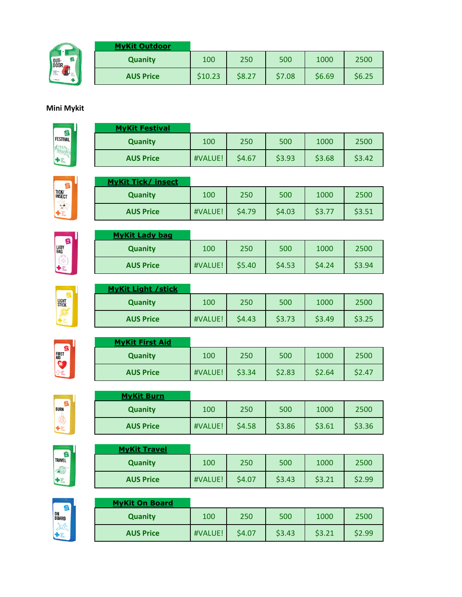|              | <b>MyKit Outdoor</b> |         |        |        |        |        |
|--------------|----------------------|---------|--------|--------|--------|--------|
| OUT-<br>DOOR | <b>Quanity</b>       | 100     | 250    | 500    | 1000   | 2500   |
| 「靈」          | <b>AUS Price</b>     | \$10.23 | \$8.27 | \$7.08 | \$6.69 | \$6.25 |

### **Mini Mykit**

FESTIVAL 印刷 +

| <b>MyKit Festival</b> |         |        |        |        |        |
|-----------------------|---------|--------|--------|--------|--------|
| <b>Quanity</b>        | 100     | 250    | 500    | 1000   | 2500   |
| <b>AUS Price</b>      | #VALUE! | \$4.67 | \$3.93 | \$3.68 | \$3.42 |



LADY<br>BAG

 $+3$ 

| <b>MyKit Tick/ insect</b> |         |        |        |        |        |
|---------------------------|---------|--------|--------|--------|--------|
| <b>Quanity</b>            | 100     | 250    | 500    | 1000   | 2500   |
| <b>AUS Price</b>          | #VALUE! | \$4.79 | \$4.03 | \$3.77 | \$3.51 |

| <b>MyKit Lady bag</b> |         |        |        |        |        |
|-----------------------|---------|--------|--------|--------|--------|
| <b>Quanity</b>        | 100     | 250    | 500    | 1000   | 2500   |
| <b>AUS Price</b>      | #VALUE! | \$5.40 | \$4.53 | \$4.24 | \$3.94 |

| LIGHT<br>Stick |  |
|----------------|--|
|                |  |

FIRST<br>AID

| <b>MyKit Light / stick</b> |         |        |        |        |        |
|----------------------------|---------|--------|--------|--------|--------|
| <b>Quanity</b>             | 100     | 250    | 500    | 1000   | 2500   |
| <b>AUS Price</b>           | #VALUE! | \$4.43 | \$3.73 | \$3.49 | \$3.25 |

| <b>MyKit First Aid</b> |         |        |        |        |        |
|------------------------|---------|--------|--------|--------|--------|
| <b>Quanity</b>         | 100     | 250    | 500    | 1000   | 2500   |
| <b>AUS Price</b>       | #VALUE! | \$3.34 | \$2.83 | \$2.64 | \$2.47 |



| <b>MyKit Burn</b> |         |        |        |        |        |
|-------------------|---------|--------|--------|--------|--------|
| <b>Quanity</b>    | 100     | 250    | 500    | 1000   | 2500   |
| <b>AUS Price</b>  | #VALUE! | \$4.58 | \$3.86 | \$3.61 | \$3.36 |
|                   |         |        |        |        |        |



| <b>MyKit Travel</b> |         |        |        |        |        |
|---------------------|---------|--------|--------|--------|--------|
| <b>Quanity</b>      | 100     | 250    | 500    | 1000   | 2500   |
| <b>AUS Price</b>    | #VALUE! | \$4.07 | \$3.43 | \$3.21 | \$2.99 |



# **MyKit On Board Quanity** 100 250 500 1000 2500 **AUS Price**  $HVALUE!$  \$4.07 \$3.43 \$3.21 \$2.99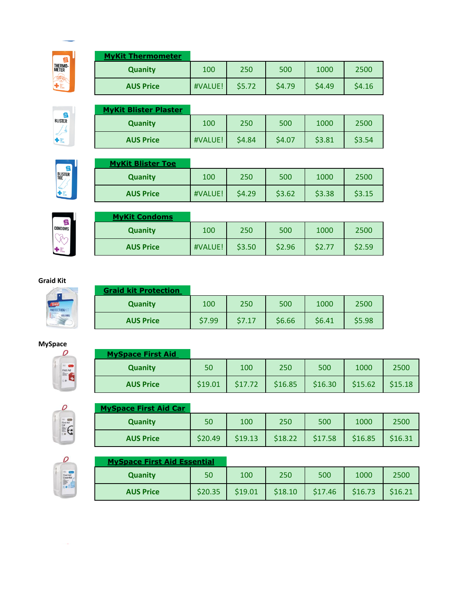

### **MyKit Thermometer**

| <b>Quanity</b>   | 100     | 250    | 500    | 1000   | 2500   |
|------------------|---------|--------|--------|--------|--------|
| <b>AUS Price</b> | #VALUE! | \$5.72 | \$4.79 | \$4.49 | \$4.16 |



| <b>MyKit Blister Plaster</b> |         |        |        |        |        |
|------------------------------|---------|--------|--------|--------|--------|
| <b>Quanity</b>               | 100     | 250    | 500    | 1000   | 2500   |
| <b>AUS Price</b>             | #VALUE! | \$4.84 | \$4.07 | \$3.81 | \$3.54 |



| <b>MyKit Blister Toe</b> |         |        |        |        |        |
|--------------------------|---------|--------|--------|--------|--------|
| <b>Quanity</b>           | 100     | 250    | 500    | 1000   | 2500   |
| <b>AUS Price</b>         | #VALUE! | \$4.29 | \$3.62 | \$3.38 | \$3.15 |



| <b>MyKit Condoms</b> |         |        |        |        |        |
|----------------------|---------|--------|--------|--------|--------|
| <b>Quanity</b>       | 100     | 250    | 500    | 1000   | 2500   |
| <b>AUS Price</b>     | #VALUE! | \$3.50 | \$2.96 | \$2.77 | \$2.59 |

#### **Graid Kit**

|              | <b>Graid kit Protection</b> |        |        |        |        |        |
|--------------|-----------------------------|--------|--------|--------|--------|--------|
| <b>JNKIT</b> | <b>Quanity</b>              | 100    | 250    | 500    | 1000   | 2500   |
| 175.195%     | <b>AUS Price</b>            | \$7.99 | \$7.17 | \$6.66 | \$6.41 | \$5.98 |

### **MySpace**



#### **MySpace First Aid**

| . . <b>, . ,</b> |         |         |         |         |         |         |
|------------------|---------|---------|---------|---------|---------|---------|
| <b>Quanity</b>   | 50      | 100     | 250     | 500     | 1000    | 2500    |
| <b>AUS Price</b> | \$19.01 | \$17.72 | \$16.85 | \$16.30 | \$15.62 | \$15.18 |



#### **MySpace First Aid Car**

| <b>Quanity</b>   | 50      | 100     | 250     | 500     | 1000    | 2500    |
|------------------|---------|---------|---------|---------|---------|---------|
| <b>AUS Price</b> | \$20.49 | \$19.13 | \$18.22 | \$17.58 | \$16.85 | \$16.31 |



### **MySpace First Aid Essential**

| <b>Quanity</b>   | 50      | 100     | 250     | 500     | 1000    | 2500    |
|------------------|---------|---------|---------|---------|---------|---------|
| <b>AUS Price</b> | \$20.35 | \$19.01 | \$18.10 | \$17.46 | \$16.73 | \$16.21 |